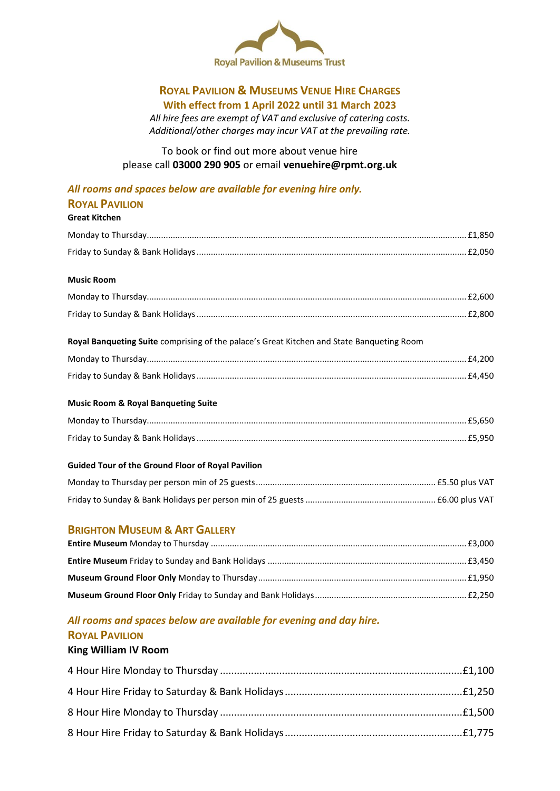

### **ROYAL PAVILION & MUSEUMS VENUE HIRE CHARGES With effect from 1 April 2022 until 31 March 2023**

*All hire fees are exempt of VAT and exclusive of catering costs. Additional/other charges may incur VAT at the prevailing rate.*

To book or find out more about venue hire please call **03000 290 905** or email **venuehire@rpmt.org.uk**

### *All rooms and spaces below are available for evening hire only.*

### **ROYAL PAVILION**

**Great Kitchen**

#### **Music Room**

| Royal Banqueting Suite comprising of the palace's Great Kitchen and State Banqueting Room |  |
|-------------------------------------------------------------------------------------------|--|
|                                                                                           |  |
|                                                                                           |  |

### **Music Room & Royal Banqueting Suite**

### **Guided Tour of the Ground Floor of Royal Pavilion**

### **BRIGHTON MUSEUM & ART GALLERY**

# *All rooms and spaces below are available for evening and day hire.*

## **ROYAL PAVILION**

### **King William IV Room**